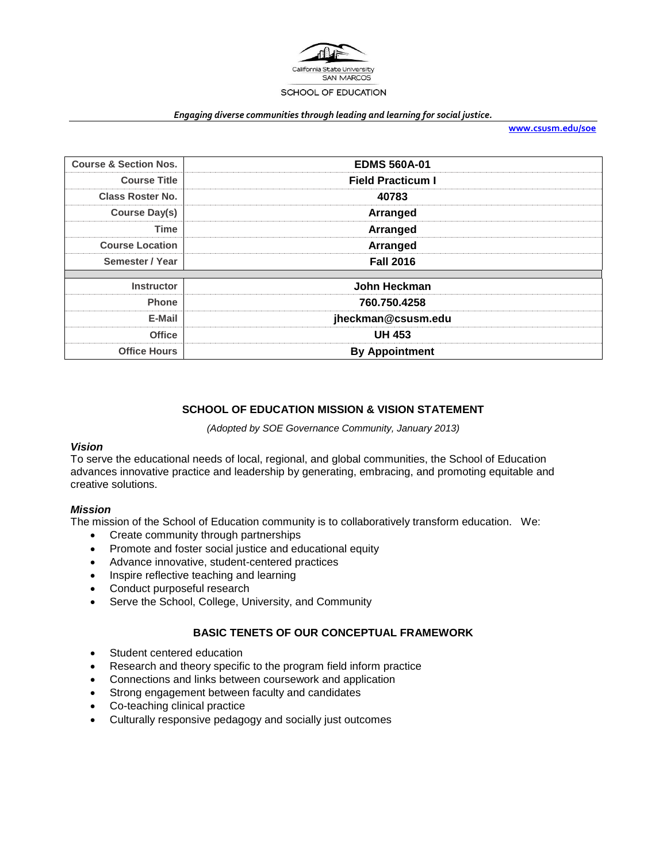

#### *Engaging diverse communities through leading and learning for social justice.*

**[www.csusm.edu/soe](http://www.csusm.edu/soe)**

| <b>Course &amp; Section Nos.</b> | <b>EDMS 560A-01</b>      |
|----------------------------------|--------------------------|
| <b>Course Title</b>              | <b>Field Practicum I</b> |
| <b>Class Roster No.</b>          | 40783                    |
| <b>Course Day(s)</b>             | <b>Arranged</b>          |
| <b>Time</b>                      | Arranged                 |
| <b>Course Location</b>           | Arranged                 |
| Semester / Year                  | <b>Fall 2016</b>         |
| <b>Instructor</b>                | John Heckman             |
| <b>Phone</b>                     | 760.750.4258             |
| E-Mail                           | jheckman@csusm.edu       |
| <b>Office</b>                    | <b>UH 453</b>            |
| <b>Office Hours</b>              | <b>By Appointment</b>    |

## **SCHOOL OF EDUCATION MISSION & VISION STATEMENT**

*(Adopted by SOE Governance Community, January 2013)*

### *Vision*

To serve the educational needs of local, regional, and global communities, the School of Education advances innovative practice and leadership by generating, embracing, and promoting equitable and creative solutions.

### *Mission*

The mission of the School of Education community is to collaboratively transform education. We:

- Create community through partnerships
- Promote and foster social justice and educational equity
- Advance innovative, student-centered practices
- Inspire reflective teaching and learning
- Conduct purposeful research
- Serve the School, College, University, and Community

### **BASIC TENETS OF OUR CONCEPTUAL FRAMEWORK**

- Student centered education
- Research and theory specific to the program field inform practice
- Connections and links between coursework and application
- Strong engagement between faculty and candidates
- Co-teaching clinical practice
- Culturally responsive pedagogy and socially just outcomes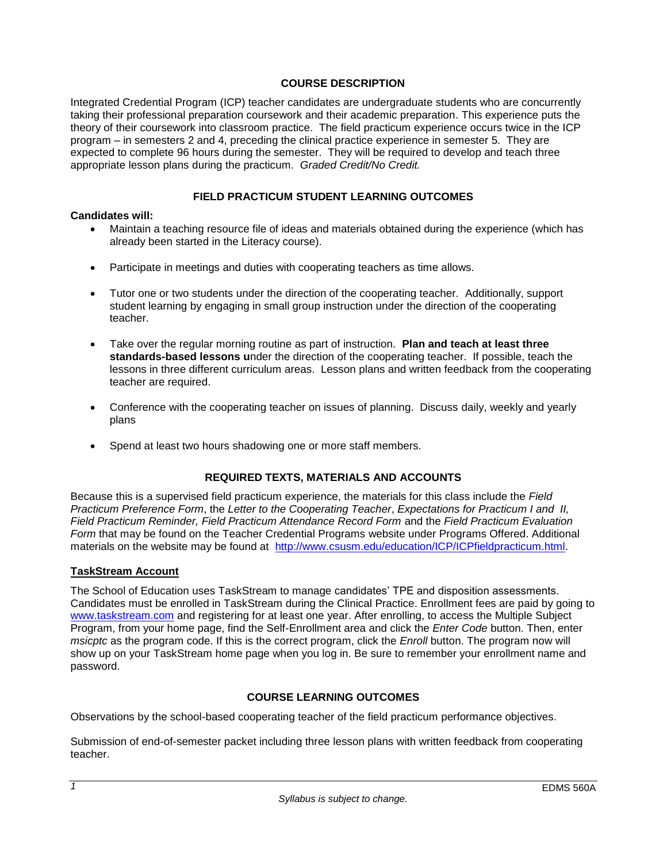### **COURSE DESCRIPTION**

Integrated Credential Program (ICP) teacher candidates are undergraduate students who are concurrently taking their professional preparation coursework and their academic preparation. This experience puts the theory of their coursework into classroom practice. The field practicum experience occurs twice in the ICP program – in semesters 2 and 4, preceding the clinical practice experience in semester 5. They are expected to complete 96 hours during the semester. They will be required to develop and teach three appropriate lesson plans during the practicum. *Graded Credit/No Credit.* 

### **FIELD PRACTICUM STUDENT LEARNING OUTCOMES**

### **Candidates will:**

- Maintain a teaching resource file of ideas and materials obtained during the experience (which has already been started in the Literacy course).
- Participate in meetings and duties with cooperating teachers as time allows.
- Tutor one or two students under the direction of the cooperating teacher. Additionally, support student learning by engaging in small group instruction under the direction of the cooperating teacher.
- Take over the regular morning routine as part of instruction. **Plan and teach at least three standards-based lessons u**nder the direction of the cooperating teacher. If possible, teach the lessons in three different curriculum areas. Lesson plans and written feedback from the cooperating teacher are required.
- Conference with the cooperating teacher on issues of planning. Discuss daily, weekly and yearly plans
- Spend at least two hours shadowing one or more staff members.

## **REQUIRED TEXTS, MATERIALS AND ACCOUNTS**

Because this is a supervised field practicum experience, the materials for this class include the *Field Practicum Preference Form*, the *Letter to the Cooperating Teacher*, *Expectations for Practicum I and II, Field Practicum Reminder, Field Practicum Attendance Record Form* and the *Field Practicum Evaluation Form* that may be found on the Teacher Credential Programs website under Programs Offered. Additional materials on the website may be found at [http://www.csusm.edu/education/ICP/ICPfieldpracticum.html.](http://www.csusm.edu/education/ICP/ICPfieldpracticum.html)

## **TaskStream Account**

The School of Education uses TaskStream to manage candidates' TPE and disposition assessments. Candidates must be enrolled in TaskStream during the Clinical Practice. Enrollment fees are paid by going to [www.taskstream.com](http://www.taskstrem.com/) and registering for at least one year. After enrolling, to access the Multiple Subject Program, from your home page, find the Self-Enrollment area and click the *Enter Code* button. Then, enter *msicptc* as the program code. If this is the correct program, click the *Enroll* button. The program now will show up on your TaskStream home page when you log in. Be sure to remember your enrollment name and password.

## **COURSE LEARNING OUTCOMES**

Observations by the school-based cooperating teacher of the field practicum performance objectives.

Submission of end-of-semester packet including three lesson plans with written feedback from cooperating teacher.

*1*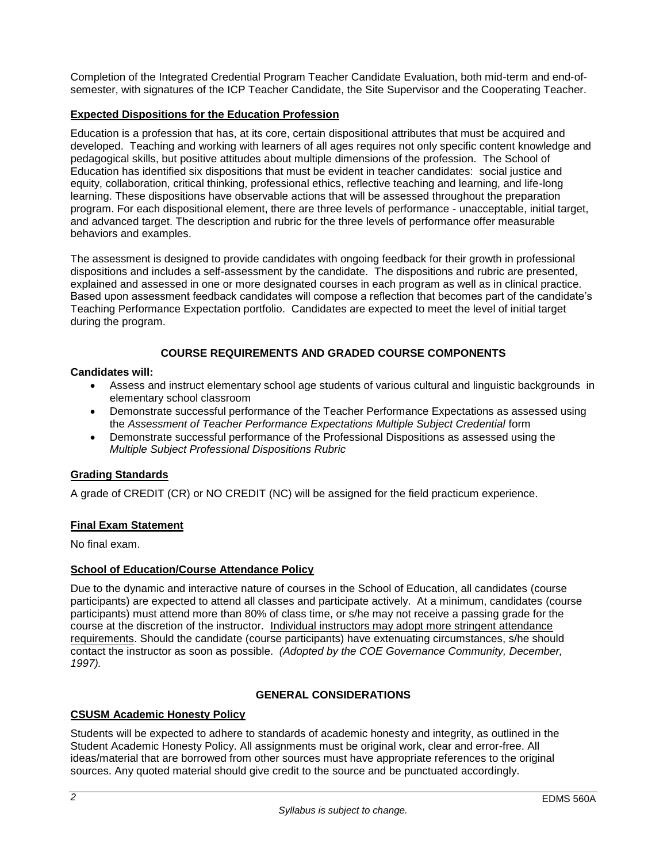Completion of the Integrated Credential Program Teacher Candidate Evaluation, both mid-term and end-ofsemester, with signatures of the ICP Teacher Candidate, the Site Supervisor and the Cooperating Teacher.

## **Expected Dispositions for the Education Profession**

Education is a profession that has, at its core, certain dispositional attributes that must be acquired and developed. Teaching and working with learners of all ages requires not only specific content knowledge and pedagogical skills, but positive attitudes about multiple dimensions of the profession. The School of Education has identified six dispositions that must be evident in teacher candidates: social justice and equity, collaboration, critical thinking, professional ethics, reflective teaching and learning, and life-long learning. These dispositions have observable actions that will be assessed throughout the preparation program. For each dispositional element, there are three levels of performance - unacceptable, initial target, and advanced target. The description and rubric for the three levels of performance offer measurable behaviors and examples.

The assessment is designed to provide candidates with ongoing feedback for their growth in professional dispositions and includes a self-assessment by the candidate. The dispositions and rubric are presented, explained and assessed in one or more designated courses in each program as well as in clinical practice. Based upon assessment feedback candidates will compose a reflection that becomes part of the candidate's Teaching Performance Expectation portfolio. Candidates are expected to meet the level of initial target during the program.

# **COURSE REQUIREMENTS AND GRADED COURSE COMPONENTS**

### **Candidates will:**

- Assess and instruct elementary school age students of various cultural and linguistic backgrounds in elementary school classroom
- Demonstrate successful performance of the Teacher Performance Expectations as assessed using the *Assessment of Teacher Performance Expectations Multiple Subject Credential* form
- Demonstrate successful performance of the Professional Dispositions as assessed using the *Multiple Subject Professional Dispositions Rubric*

## **Grading Standards**

A grade of CREDIT (CR) or NO CREDIT (NC) will be assigned for the field practicum experience.

## **Final Exam Statement**

No final exam.

## **School of Education/Course Attendance Policy**

Due to the dynamic and interactive nature of courses in the School of Education, all candidates (course participants) are expected to attend all classes and participate actively. At a minimum, candidates (course participants) must attend more than 80% of class time, or s/he may not receive a passing grade for the course at the discretion of the instructor. Individual instructors may adopt more stringent attendance requirements. Should the candidate (course participants) have extenuating circumstances, s/he should contact the instructor as soon as possible. *(Adopted by the COE Governance Community, December, 1997).*

## **GENERAL CONSIDERATIONS**

### **CSUSM Academic Honesty Policy**

Students will be expected to adhere to standards of academic honesty and integrity, as outlined in the Student Academic Honesty Policy. All assignments must be original work, clear and error-free. All ideas/material that are borrowed from other sources must have appropriate references to the original sources. Any quoted material should give credit to the source and be punctuated accordingly.